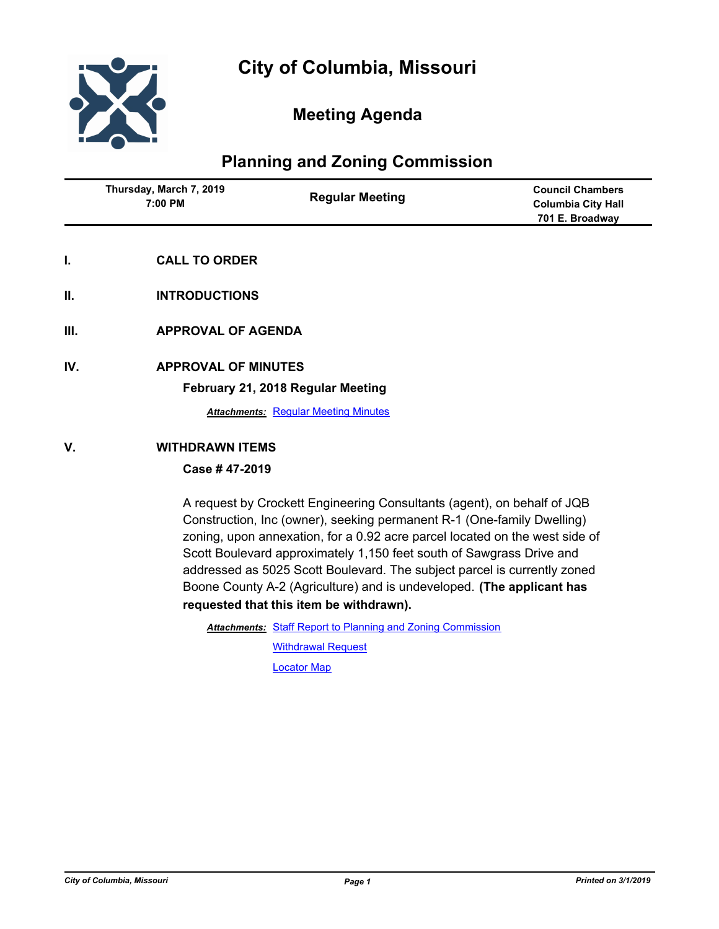

# **Meeting Agenda**

# **Planning and Zoning Commission**

| Thursday, March 7, 2019<br>7:00 PM | <b>Regular Meeting</b> | <b>Council Chambers</b><br><b>Columbia City Hall</b><br>701 E. Broadway |
|------------------------------------|------------------------|-------------------------------------------------------------------------|
|                                    |                        |                                                                         |

- **I. CALL TO ORDER**
- **II. INTRODUCTIONS**
- **III. APPROVAL OF AGENDA**
- **IV. APPROVAL OF MINUTES**

#### **February 21, 2018 Regular Meeting**

**Attachments: [Regular Meeting Minutes](http://gocolumbiamo.legistar.com/gateway.aspx?M=F&ID=ce1bde09-ff58-426d-897f-0570d39f17d7.docx)** 

## **V. WITHDRAWN ITEMS**

## **Case # 47-2019**

A request by Crockett Engineering Consultants (agent), on behalf of JQB Construction, Inc (owner), seeking permanent R-1 (One-family Dwelling) zoning, upon annexation, for a 0.92 acre parcel located on the west side of Scott Boulevard approximately 1,150 feet south of Sawgrass Drive and addressed as 5025 Scott Boulevard. The subject parcel is currently zoned Boone County A-2 (Agriculture) and is undeveloped. **(The applicant has requested that this item be withdrawn).**

Attachments: [Staff Report to Planning and Zoning Commission](http://gocolumbiamo.legistar.com/gateway.aspx?M=F&ID=be1ff12a-c9b9-4ff1-9e5e-816381d51ace.docx)

[Withdrawal Request](http://gocolumbiamo.legistar.com/gateway.aspx?M=F&ID=0e12ac66-24aa-4669-9fa3-2dc213668177.pdf) [Locator Map](http://gocolumbiamo.legistar.com/gateway.aspx?M=F&ID=2fff2d52-576f-48d2-bf5e-75860f997dd1.pdf)